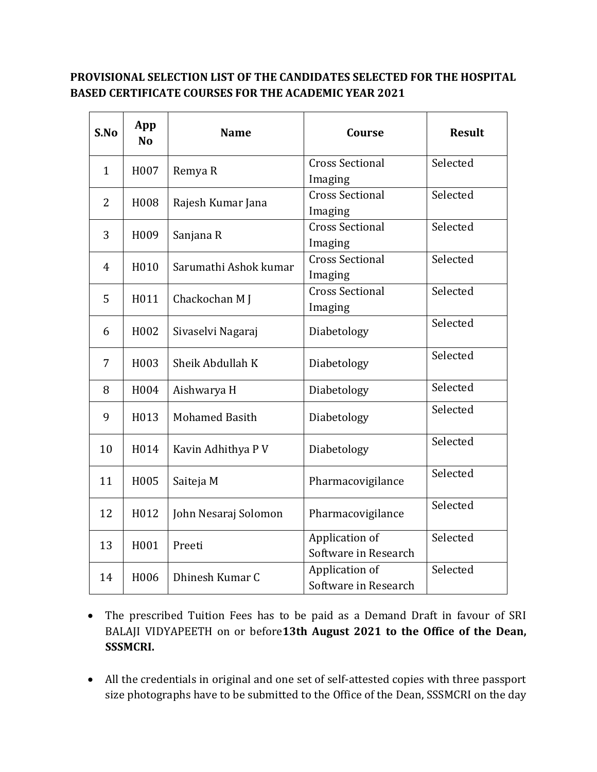## **PROVISIONAL SELECTION LIST OF THE CANDIDATES SELECTED FOR THE HOSPITAL BASED CERTIFICATE COURSES FOR THE ACADEMIC YEAR 2021**

| S.No           | App<br>N <sub>0</sub> | <b>Name</b>           | <b>Course</b>                          | <b>Result</b> |
|----------------|-----------------------|-----------------------|----------------------------------------|---------------|
| $\mathbf{1}$   | H007                  | Remya R               | <b>Cross Sectional</b><br>Imaging      | Selected      |
| $\overline{2}$ | H008                  | Rajesh Kumar Jana     | <b>Cross Sectional</b><br>Imaging      | Selected      |
| 3              | H009                  | Sanjana R             | <b>Cross Sectional</b><br>Imaging      | Selected      |
| $\overline{4}$ | H010                  | Sarumathi Ashok kumar | <b>Cross Sectional</b><br>Imaging      | Selected      |
| 5              | H011                  | Chackochan M J        | <b>Cross Sectional</b><br>Imaging      | Selected      |
| 6              | H002                  | Sivaselvi Nagaraj     | Diabetology                            | Selected      |
| 7              | H003                  | Sheik Abdullah K      | Diabetology                            | Selected      |
| 8              | H004                  | Aishwarya H           | Diabetology                            | Selected      |
| 9              | H013                  | <b>Mohamed Basith</b> | Diabetology                            | Selected      |
| 10             | H014                  | Kavin Adhithya P V    | Diabetology                            | Selected      |
| 11             | H005                  | Saiteja M             | Pharmacovigilance                      | Selected      |
| 12             | H012                  | John Nesaraj Solomon  | Pharmacovigilance                      | Selected      |
| 13             | H001                  | Preeti                | Application of<br>Software in Research | Selected      |
| 14             | H006                  | Dhinesh Kumar C       | Application of<br>Software in Research | Selected      |

- The prescribed Tuition Fees has to be paid as a Demand Draft in favour of SRI BALAJI VIDYAPEETH on or before**13th August 2021 to the Office of the Dean, SSSMCRI.**
- All the credentials in original and one set of self-attested copies with three passport size photographs have to be submitted to the Office of the Dean, SSSMCRI on the day